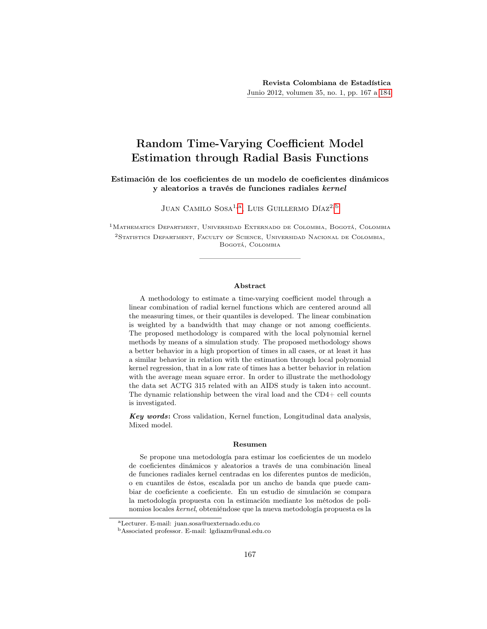# Random Time-Varying Coefficient Model Estimation through Radial Basis Functions

### Estimación de los coeficientes de un modelo de coeficientes dinámicos y aleatorios a través de funciones radiales kernel

JUAN CAMILO SOSA<sup>1, [a](#page-0-0)</sup>. LUIS GUILLERMO DÍAZ<sup>2, [b](#page-0-1)</sup>

1Mathematics Department, Universidad Externado de Colombia, Bogotá, Colombia 2Statistics Department, Faculty of Science, Universidad Nacional de Colombia, Bogotá, Colombia

#### Abstract

A methodology to estimate a time-varying coefficient model through a linear combination of radial kernel functions which are centered around all the measuring times, or their quantiles is developed. The linear combination is weighted by a bandwidth that may change or not among coefficients. The proposed methodology is compared with the local polynomial kernel methods by means of a simulation study. The proposed methodology shows a better behavior in a high proportion of times in all cases, or at least it has a similar behavior in relation with the estimation through local polynomial kernel regression, that in a low rate of times has a better behavior in relation with the average mean square error. In order to illustrate the methodology the data set ACTG 315 related with an AIDS study is taken into account. The dynamic relationship between the viral load and the CD4+ cell counts is investigated.

Key words: Cross validation, Kernel function, Longitudinal data analysis, Mixed model.

#### Resumen

Se propone una metodología para estimar los coeficientes de un modelo de coeficientes dinámicos y aleatorios a través de una combinación lineal de funciones radiales kernel centradas en los diferentes puntos de medición, o en cuantiles de éstos, escalada por un ancho de banda que puede cambiar de coeficiente a coeficiente. En un estudio de simulación se compara la metodología propuesta con la estimación mediante los métodos de polinomios locales kernel, obteniéndose que la nueva metodología propuesta es la

<span id="page-0-0"></span><sup>a</sup>Lecturer. E-mail: juan.sosa@uexternado.edu.co

<span id="page-0-1"></span><sup>b</sup>Associated professor. E-mail: lgdiazm@unal.edu.co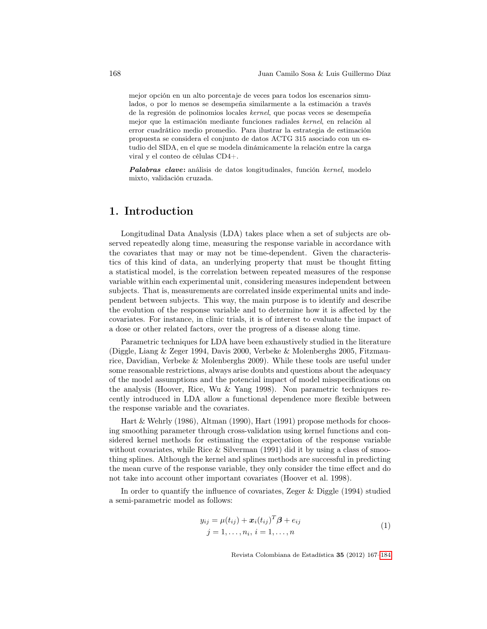mejor opción en un alto porcentaje de veces para todos los escenarios simulados, o por lo menos se desempeña similarmente a la estimación a través de la regresión de polinomios locales kernel, que pocas veces se desempeña mejor que la estimación mediante funciones radiales kernel, en relación al error cuadrático medio promedio. Para ilustrar la estrategia de estimación propuesta se considera el conjunto de datos ACTG 315 asociado con un estudio del SIDA, en el que se modela dinámicamente la relación entre la carga viral y el conteo de células CD4+.

Palabras clave: análisis de datos longitudinales, función kernel, modelo mixto, validación cruzada.

## 1. Introduction

Longitudinal Data Analysis (LDA) takes place when a set of subjects are observed repeatedly along time, measuring the response variable in accordance with the covariates that may or may not be time-dependent. Given the characteristics of this kind of data, an underlying property that must be thought fitting a statistical model, is the correlation between repeated measures of the response variable within each experimental unit, considering measures independent between subjects. That is, measurements are correlated inside experimental units and independent between subjects. This way, the main purpose is to identify and describe the evolution of the response variable and to determine how it is affected by the covariates. For instance, in clinic trials, it is of interest to evaluate the impact of a dose or other related factors, over the progress of a disease along time.

Parametric techniques for LDA have been exhaustively studied in the literature (Diggle, Liang & Zeger 1994, Davis 2000, Verbeke & Molenberghs 2005, Fitzmaurice, Davidian, Verbeke & Molenberghs 2009). While these tools are useful under some reasonable restrictions, always arise doubts and questions about the adequacy of the model assumptions and the potencial impact of model misspecifications on the analysis (Hoover, Rice, Wu & Yang 1998). Non parametric techniques recently introduced in LDA allow a functional dependence more flexible between the response variable and the covariates.

Hart & Wehrly (1986), Altman (1990), Hart (1991) propose methods for choosing smoothing parameter through cross-validation using kernel functions and considered kernel methods for estimating the expectation of the response variable without covariates, while Rice  $&$  Silverman (1991) did it by using a class of smoothing splines. Although the kernel and splines methods are successful in predicting the mean curve of the response variable, they only consider the time effect and do not take into account other important covariates (Hoover et al. 1998).

In order to quantify the influence of covariates, Zeger & Diggle (1994) studied a semi-parametric model as follows:

<span id="page-1-0"></span>
$$
y_{ij} = \mu(t_{ij}) + \boldsymbol{x}_i(t_{ij})^T \boldsymbol{\beta} + e_{ij}
$$
  
\n
$$
j = 1, ..., n_i, i = 1, ..., n
$$
 (1)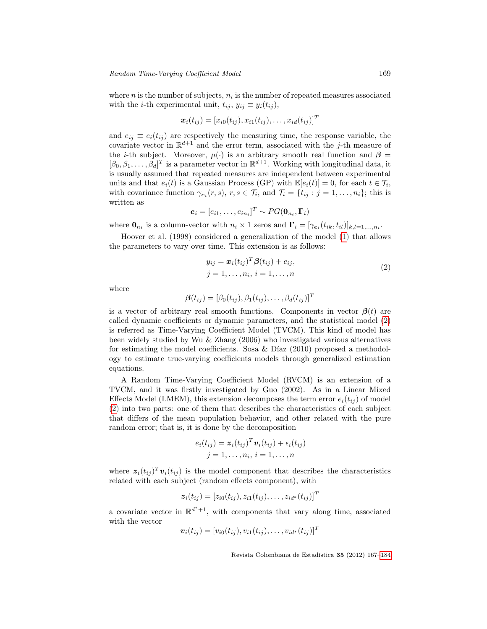where  $n$  is the number of subjects,  $n_i$  is the number of repeated measures associated with the *i*-th experimental unit,  $t_{ij}$ ,  $y_{ij} \equiv y_i(t_{ij})$ ,

$$
\boldsymbol{x}_i(t_{ij}) = [x_{i0}(t_{ij}), x_{i1}(t_{ij}), \ldots, x_{id}(t_{ij})]^T
$$

and  $e_{ij} \equiv e_i(t_{ij})$  are respectively the measuring time, the response variable, the covariate vector in  $\mathbb{R}^{d+1}$  and the error term, associated with the j-th measure of the *i*-th subject. Moreover,  $\mu$ (·) is an arbitrary smooth real function and  $\beta$  $[\beta_0, \beta_1, \ldots, \beta_d]^T$  is a parameter vector in  $\mathbb{R}^{d+1}$ . Working with longitudinal data, it is usually assumed that repeated measures are independent between experimental units and that  $e_i(t)$  is a Gaussian Process (GP) with  $\mathbb{E}[e_i(t)] = 0$ , for each  $t \in \mathcal{T}_i$ , with covariance function  $\gamma_{e_i}(r, s)$ ,  $r, s \in \mathcal{T}_i$ , and  $\mathcal{T}_i = \{t_{ij} : j = 1, \ldots, n_i\}$ ; this is written as

$$
\boldsymbol{e}_i = [e_{i1}, \dots, e_{in_i}]^T \sim PG(\boldsymbol{0}_{n_i}, \boldsymbol{\Gamma}_i)
$$

where  $\mathbf{0}_{n_i}$  is a column-vector with  $n_i \times 1$  zeros and  $\mathbf{\Gamma}_i = [\gamma_{\mathbf{e}_i}(t_{ik}, t_{il})]_{k,l=1,\ldots,n_i}$ .

Hoover et al. (1998) considered a generalization of the model [\(1\)](#page-1-0) that allows the parameters to vary over time. This extension is as follows:

<span id="page-2-0"></span>
$$
y_{ij} = \boldsymbol{x}_i(t_{ij})^T \boldsymbol{\beta}(t_{ij}) + e_{ij},
$$
  
\n
$$
j = 1, \dots, n_i, i = 1, \dots, n
$$
\n(2)

where

$$
\boldsymbol{\beta}(t_{ij}) = [\beta_0(t_{ij}), \beta_1(t_{ij}), \ldots, \beta_d(t_{ij})]^T
$$

is a vector of arbitrary real smooth functions. Components in vector  $\beta(t)$  are called dynamic coefficients or dynamic parameters, and the statistical model [\(2\)](#page-2-0) is referred as Time-Varying Coefficient Model (TVCM). This kind of model has been widely studied by Wu & Zhang (2006) who investigated various alternatives for estimating the model coefficients. Sosa & Díaz (2010) proposed a methodology to estimate true-varying coefficients models through generalized estimation equations.

A Random Time-Varying Coefficient Model (RVCM) is an extension of a TVCM, and it was firstly investigated by Guo (2002). As in a Linear Mixed Effects Model (LMEM), this extension decomposes the term error  $e_i(t_{ij})$  of model [\(2\)](#page-2-0) into two parts: one of them that describes the characteristics of each subject that differs of the mean population behavior, and other related with the pure random error; that is, it is done by the decomposition

$$
e_i(t_{ij}) = \boldsymbol{z}_i(t_{ij})^T \boldsymbol{v}_i(t_{ij}) + \epsilon_i(t_{ij})
$$
  

$$
j = 1, \dots, n_i, i = 1, \dots, n
$$

where  $z_i(t_{ij})^T v_i(t_{ij})$  is the model component that describes the characteristics related with each subject (random effects component), with

$$
\boldsymbol{z}_i(t_{ij}) = [z_{i0}(t_{ij}), z_{i1}(t_{ij}), \dots, z_{id^*}(t_{ij})]^T
$$

a covariate vector in  $\mathbb{R}^{d^*+1}$ , with components that vary along time, associated with the vector

$$
\boldsymbol{v}_i(t_{ij}) = [v_{i0}(t_{ij}), v_{i1}(t_{ij}), \dots, v_{id^*}(t_{ij})]^T
$$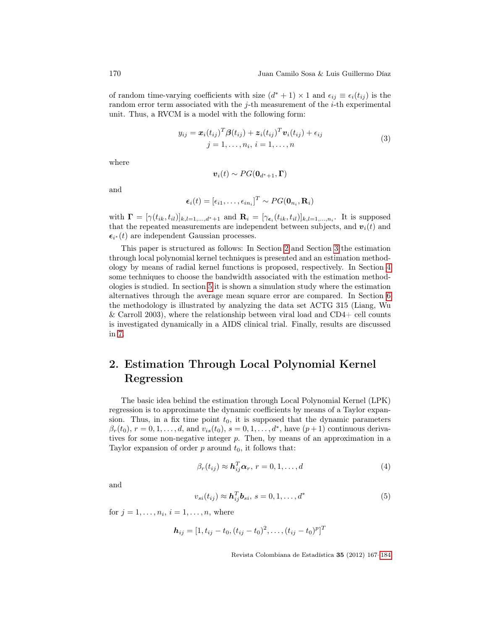of random time-varying coefficients with size  $(d^* + 1) \times 1$  and  $\epsilon_{ij} \equiv \epsilon_i(t_{ij})$  is the random error term associated with the j-th measurement of the  $i$ -th experimental unit. Thus, a RVCM is a model with the following form:

<span id="page-3-1"></span>
$$
y_{ij} = \boldsymbol{x}_i (t_{ij})^T \boldsymbol{\beta} (t_{ij}) + \boldsymbol{z}_i (t_{ij})^T \boldsymbol{v}_i (t_{ij}) + \epsilon_{ij}
$$
  

$$
j = 1, \dots, n_i, i = 1, \dots, n
$$
 (3)

where

$$
\boldsymbol{v}_i(t) \sim PG(\boldsymbol{0}_{d^*+1}, \boldsymbol{\Gamma})
$$

and

$$
\boldsymbol{\epsilon}_i(t) = [\epsilon_{i1}, \dots, \epsilon_{in_i}]^T \sim PG(\mathbf{0}_{n_i}, \mathbf{R}_i)
$$

with  $\mathbf{\Gamma} = [\gamma(t_{ik}, t_{il})]_{k,l=1,\dots,d^*+1}$  and  $\mathbf{R}_i = [\gamma_{\epsilon_i}(t_{ik}, t_{il})]_{k,l=1,\dots,n_i}$ . It is supposed that the repeated measurements are independent between subjects, and  $v_i(t)$  and  $\epsilon_{i^*}(t)$  are independent Gaussian processes.

This paper is structured as follows: In Section [2](#page-3-0) and Section [3](#page-5-0) the estimation through local polynomial kernel techniques is presented and an estimation methodology by means of radial kernel functions is proposed, respectively. In Section [4](#page-6-0) some techniques to choose the bandwidth associated with the estimation methodologies is studied. In section [5](#page-7-0) it is shown a simulation study where the estimation alternatives through the average mean square error are compared. In Section [6](#page-11-0) the methodology is illustrated by analyzing the data set ACTG 315 (Liang, Wu  $\&$  Carroll 2003), where the relationship between viral load and CD4+ cell counts is investigated dynamically in a AIDS clinical trial. Finally, results are discussed in [7.](#page-15-0)

# <span id="page-3-0"></span>2. Estimation Through Local Polynomial Kernel Regression

The basic idea behind the estimation through Local Polynomial Kernel (LPK) regression is to approximate the dynamic coefficients by means of a Taylor expansion. Thus, in a fix time point  $t_0$ , it is supposed that the dynamic parameters  $\beta_r(t_0)$ ,  $r = 0, 1, \ldots, d$ , and  $v_{is}(t_0)$ ,  $s = 0, 1, \ldots, d^*$ , have  $(p+1)$  continuous derivatives for some non-negative integer p. Then, by means of an approximation in a Taylor expansion of order  $p$  around  $t_0$ , it follows that:

$$
\beta_r(t_{ij}) \approx \mathbf{h}_{ij}^T \boldsymbol{\alpha}_r, r = 0, 1, \dots, d \tag{4}
$$

and

$$
v_{si}(t_{ij}) \approx \mathbf{h}_{ij}^T \mathbf{b}_{si}, \ s = 0, 1, \dots, d^*
$$
\n<sup>(5)</sup>

for  $j = 1, ..., n_i, i = 1, ..., n$ , where

$$
\mathbf{h}_{ij} = [1, t_{ij} - t_0, (t_{ij} - t_0)^2, \dots, (t_{ij} - t_0)^p]^T
$$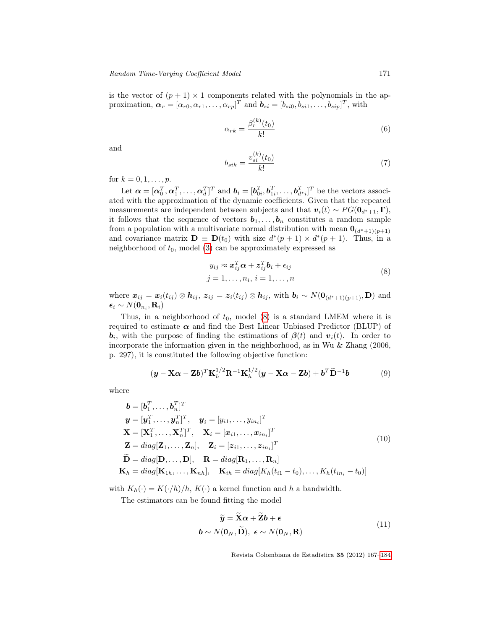is the vector of  $(p+1) \times 1$  components related with the polynomials in the approximation,  $\boldsymbol{\alpha}_r = [\alpha_{r0}, \alpha_{r1}, \dots, \alpha_{rp}]^T$  and  $\boldsymbol{b}_{si} = [b_{si0}, b_{si1}, \dots, b_{sip}]^T$ , with

$$
\alpha_{rk} = \frac{\beta_r^{(k)}(t_0)}{k!} \tag{6}
$$

and

$$
b_{sik} = \frac{v_{si}^{(k)}(t_0)}{k!}
$$
 (7)

for  $k = 0, 1, ..., p$ .

Let  $\boldsymbol{\alpha} = [\boldsymbol{\alpha}_0^T, \boldsymbol{\alpha}_1^T, \dots, \boldsymbol{\alpha}_d^T]^T$  and  $\boldsymbol{b}_i = [\boldsymbol{b}_{0i}^T, \boldsymbol{b}_{1i}^T, \dots, \boldsymbol{b}_{d^*i}^T]^T$  be the vectors associated with the approximation of the dynamic coefficients. Given that the repeated measurements are independent between subjects and that  $v_i(t) \sim PG(\mathbf{0}_{d^*+1}, \mathbf{\Gamma}),$ it follows that the sequence of vectors  $b_1, \ldots, b_n$  constitutes a random sample from a population with a multivariate normal distribution with mean  $\mathbf{0}_{(d^*+1)(p+1)}$ and covariance matrix  $\mathbf{D} \equiv \mathbf{D}(t_0)$  with size  $d^*(p+1) \times d^*(p+1)$ . Thus, in a neighborhood of  $t_0$ , model [\(3\)](#page-3-1) can be approximately expressed as

<span id="page-4-0"></span>
$$
y_{ij} \approx \boldsymbol{x}_{ij}^T \boldsymbol{\alpha} + \boldsymbol{z}_{ij}^T \boldsymbol{b}_i + \epsilon_{ij}
$$
  
\n
$$
j = 1, \dots, n_i, i = 1, \dots, n
$$
\n(8)

where  $x_{ij} = x_i(t_{ij}) \otimes h_{ij}$ ,  $z_{ij} = z_i(t_{ij}) \otimes h_{ij}$ , with  $b_i \sim N(\mathbf{0}_{(d^*+1)(p+1)}, \mathbf{D})$  and  $\boldsymbol{\epsilon}_i \sim N(\boldsymbol{0}_{n_i}, \mathbf{R}_i)$ 

Thus, in a neighborhood of  $t_0$ , model [\(8\)](#page-4-0) is a standard LMEM where it is required to estimate  $\alpha$  and find the Best Linear Unbiased Predictor (BLUP) of  $\bm{b}_i$ , with the purpose of finding the estimations of  $\bm{\beta}(t)$  and  $\bm{v}_i(t)$ . In order to incorporate the information given in the neighborhood, as in Wu & Zhang (2006, p. 297), it is constituted the following objective function:

<span id="page-4-1"></span>
$$
(\mathbf{y} - \mathbf{X}\boldsymbol{\alpha} - \mathbf{Z}\boldsymbol{b})^T \mathbf{K}_h^{1/2} \mathbf{R}^{-1} \mathbf{K}_h^{1/2} (\mathbf{y} - \mathbf{X}\boldsymbol{\alpha} - \mathbf{Z}\boldsymbol{b}) + \boldsymbol{b}^T \widetilde{\mathbf{D}}^{-1} \boldsymbol{b}
$$
(9)

where

$$
\mathbf{b} = [\mathbf{b}_{1}^{T}, \dots, \mathbf{b}_{n}^{T}]^{T}
$$
\n
$$
\mathbf{y} = [\mathbf{y}_{1}^{T}, \dots, \mathbf{y}_{n}^{T}]^{T}, \quad \mathbf{y}_{i} = [y_{i1}, \dots, y_{in_{i}}]^{T}
$$
\n
$$
\mathbf{X} = [\mathbf{X}_{1}^{T}, \dots, \mathbf{X}_{n}^{T}]^{T}, \quad \mathbf{X}_{i} = [\mathbf{x}_{i1}, \dots, \mathbf{x}_{in_{i}}]^{T}
$$
\n
$$
\mathbf{Z} = diag[\mathbf{Z}_{1}, \dots, \mathbf{Z}_{n}], \quad \mathbf{Z}_{i} = [\mathbf{z}_{i1}, \dots, \mathbf{z}_{in_{i}}]^{T}
$$
\n
$$
\widetilde{\mathbf{D}} = diag[\mathbf{D}, \dots, \mathbf{D}], \quad \mathbf{R} = diag[\mathbf{R}_{1}, \dots, \mathbf{R}_{n}]
$$
\n
$$
\mathbf{K}_{h} = diag[\mathbf{K}_{1h}, \dots, \mathbf{K}_{nh}], \quad \mathbf{K}_{ih} = diag[K_{h}(t_{i1} - t_{0}), \dots, K_{h}(t_{in_{i}} - t_{0})]
$$
\n(10)

with  $K_h(\cdot) = K(\cdot/h)/h$ ,  $K(\cdot)$  a kernel function and h a bandwidth.

 $\sim$ 

The estimators can be found fitting the model

$$
\widetilde{\mathbf{y}} = \widetilde{\mathbf{X}}\boldsymbol{\alpha} + \widetilde{\mathbf{Z}}\boldsymbol{b} + \boldsymbol{\epsilon}
$$
\n
$$
\boldsymbol{b} \sim N(\mathbf{0}_N, \widetilde{\mathbf{D}}), \ \boldsymbol{\epsilon} \sim N(\mathbf{0}_N, \mathbf{R})
$$
\n(11)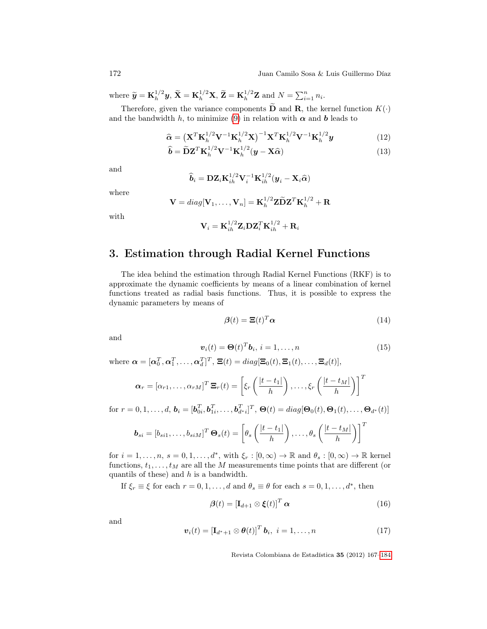where  $\widetilde{\mathbf{y}} = \mathbf{K}_h^{1/2}$  $\tilde{\mathbf{X}}_h^{1/2} \mathbf{y}, \, \tilde{\mathbf{X}} = \mathbf{K}_h^{1/2} \mathbf{X}, \, \tilde{\mathbf{Z}} = \mathbf{K}_h^{1/2} \mathbf{Z} \text{ and } N = \sum_{i=1}^n n_i.$ 

Therefore, given the variance components  $\overline{\mathbf{D}}$  and  $\mathbf{R}$ , the kernel function  $K(\cdot)$ and the bandwidth h, to minimize [\(9\)](#page-4-1) in relation with  $\alpha$  and  $b$  leads to

$$
\widehat{\mathbf{\alpha}} = \left(\mathbf{X}^T \mathbf{K}_h^{1/2} \mathbf{V}^{-1} \mathbf{K}_h^{1/2} \mathbf{X}\right)^{-1} \mathbf{X}^T \mathbf{K}_h^{1/2} \mathbf{V}^{-1} \mathbf{K}_h^{1/2} \mathbf{y}
$$
(12)

$$
\widehat{\mathbf{b}} = \widetilde{\mathbf{D}} \mathbf{Z}^T \mathbf{K}_h^{1/2} \mathbf{V}^{-1} \mathbf{K}_h^{1/2} (\mathbf{y} - \mathbf{X} \widehat{\alpha})
$$
\n(13)

and

$$
\widehat{\boldsymbol{b}}_i = \mathbf{D} \mathbf{Z}_i \mathbf{K}_{ih}^{1/2} \mathbf{V}_i^{-1} \mathbf{K}_{ih}^{1/2} (\boldsymbol{y}_i - \mathbf{X}_i \widehat{\boldsymbol{\alpha}})
$$

where

$$
\mathbf{V} = diag[\mathbf{V}_1, \dots, \mathbf{V}_n] = \mathbf{K}_h^{1/2} \mathbf{Z} \widetilde{\mathbf{D}} \mathbf{Z}^T \mathbf{K}_h^{1/2} + \mathbf{R}
$$

with

$$
\mathbf{V}_i = \mathbf{K}_{ih}^{1/2} \mathbf{Z}_i \mathbf{D} \mathbf{Z}_i^T \mathbf{K}_{ih}^{1/2} + \mathbf{R}_i
$$

# <span id="page-5-0"></span>3. Estimation through Radial Kernel Functions

The idea behind the estimation through Radial Kernel Functions (RKF) is to approximate the dynamic coefficients by means of a linear combination of kernel functions treated as radial basis functions. Thus, it is possible to express the dynamic parameters by means of

$$
\beta(t) = \Xi(t)^T \alpha \tag{14}
$$

and

<span id="page-5-1"></span>
$$
\boldsymbol{v}_i(t) = \boldsymbol{\Theta}(t)^T \boldsymbol{b}_i, \, i = 1, \dots, n \tag{15}
$$

where  $\boldsymbol{\alpha} = [\boldsymbol{\alpha}_0^T, \boldsymbol{\alpha}_1^T, \dots, \boldsymbol{\alpha}_d^T]^T$ ,  $\boldsymbol{\Xi}(t) = diag[\boldsymbol{\Xi}_0(t), \boldsymbol{\Xi}_1(t), \dots, \boldsymbol{\Xi}_d(t)],$ 

$$
\boldsymbol{\alpha}_r = [\alpha_{r1}, \dots, \alpha_{rM}]^T \mathbf{\Xi}_r(t) = \left[ \xi_r \left( \frac{|t - t_1|}{h} \right), \dots, \xi_r \left( \frac{|t - t_M|}{h} \right) \right]^T
$$

for  $r = 0, 1, ..., d$ ,  $\mathbf{b}_i = [\mathbf{b}_{0i}^T, \mathbf{b}_{1i}^T, ..., \mathbf{b}_{d'i}^T]^T$ ,  $\mathbf{\Theta}(t) = diag[\mathbf{\Theta}_0(t), \mathbf{\Theta}_1(t), ..., \mathbf{\Theta}_{d^*}(t)]$ 

$$
\boldsymbol{b}_{si} = [b_{si1}, \dots, b_{siM}]^T \boldsymbol{\Theta}_s(t) = \left[\theta_s \left(\frac{|t - t_1|}{h}\right), \dots, \theta_s \left(\frac{|t - t_M|}{h}\right)\right]^T
$$

for  $i = 1, \ldots, n$ ,  $s = 0, 1, \ldots, d^*$ , with  $\xi_r : [0, \infty) \to \mathbb{R}$  and  $\theta_s : [0, \infty) \to \mathbb{R}$  kernel functions,  $t_1, \ldots, t_M$  are all the M measurements time points that are different (or quantils of these) and  $h$  is a bandwidth.

If  $\xi_r \equiv \xi$  for each  $r = 0, 1, ..., d$  and  $\theta_s \equiv \theta$  for each  $s = 0, 1, ..., d^*$ , then

$$
\boldsymbol{\beta}(t) = \left[\mathbf{I}_{d+1} \otimes \boldsymbol{\xi}(t)\right]^T \boldsymbol{\alpha} \tag{16}
$$

and

$$
\boldsymbol{v}_i(t) = \left[\mathbf{I}_{d^*+1} \otimes \boldsymbol{\theta}(t)\right]^T \boldsymbol{b}_i, \ i = 1, \dots, n \tag{17}
$$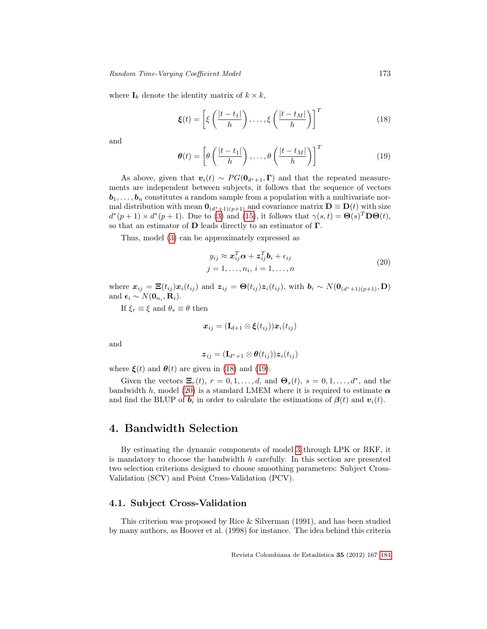where  $I_k$  denote the identity matrix of  $k \times k$ ,

<span id="page-6-1"></span>
$$
\boldsymbol{\xi}(t) = \left[ \xi \left( \frac{|t - t_1|}{h} \right), \dots, \xi \left( \frac{|t - t_M|}{h} \right) \right]^T \tag{18}
$$

and

<span id="page-6-2"></span>
$$
\boldsymbol{\theta}(t) = \left[\theta\left(\frac{|t - t_1|}{h}\right), \dots, \theta\left(\frac{|t - t_M|}{h}\right)\right]^T \tag{19}
$$

As above, given that  $\mathbf{v}_i(t) \sim PG(\mathbf{0}_{d^*+1}, \mathbf{\Gamma})$  and that the repeated measurements are independent between subjects, it follows that the sequence of vectors  $b_1, \ldots, b_n$  constitutes a random sample from a population with a multivariate normal distribution with mean  $\mathbf{0}_{(d^*+1)(p+1)}$  and covariance matrix  $\mathbf{D} \equiv \mathbf{D}(t)$  with size  $d^*(p+1) \times d^*(p+1)$ . Due to [\(3\)](#page-3-1) and [\(15\)](#page-5-1), it follows that  $\gamma(s,t) = \Theta(s)^T \mathbf{D}\Theta(t)$ , so that an estimator of  $D$  leads directly to an estimator of  $\Gamma$ .

Thus, model [\(3\)](#page-3-1) can be approximately expressed as

<span id="page-6-3"></span>
$$
y_{ij} \approx \boldsymbol{x}_{ij}^T \boldsymbol{\alpha} + \boldsymbol{z}_{ij}^T \boldsymbol{b}_i + \epsilon_{ij}
$$
  
\n
$$
j = 1, \dots, n_i, i = 1, \dots, n
$$
\n(20)

where  $x_{ij} = \Xi(t_{ij})x_i(t_{ij})$  and  $z_{ij} = \Theta(t_{ij})z_i(t_{ij})$ , with  $b_i \sim N(\mathbf{0}_{(d^*+1)(p+1)}, \mathbf{D})$ and  $\boldsymbol{\epsilon}_i \sim N(\mathbf{0}_{n_i}, \mathbf{R}_i)$ .

If  $\xi_r \equiv \xi$  and  $\theta_s \equiv \theta$  then

$$
\bm{x}_{ij}=(\mathbf{I}_{d+1}\otimes\bm{\xi}(t_{ij}))\bm{x}_i(t_{ij})
$$

and

$$
\bm{z}_{ij}=(\mathbf{I}_{d^*+1}\otimes \bm{\theta}(t_{ij}))\bm{z}_i(t_{ij})
$$

where  $\xi(t)$  and  $\theta(t)$  are given in [\(18\)](#page-6-1) and [\(19\)](#page-6-2).

Given the vectors  $\Xi_r(t)$ ,  $r = 0, 1, \ldots, d$ , and  $\Theta_s(t)$ ,  $s = 0, 1, \ldots, d^*$ , and the bandwidth h, model [\(20\)](#page-6-3) is a standard LMEM where it is required to estimate  $\alpha$ and find the BLUP of  $b_i$  in order to calculate the estimations of  $\beta(t)$  and  $v_i(t)$ .

## <span id="page-6-0"></span>4. Bandwidth Selection

By estimating the dynamic components of model [3](#page-3-1) through LPK or RKF, it is mandatory to choose the bandwidth  $h$  carefully. In this section are presented two selection criterions designed to choose smoothing parameters: Subject Cross-Validation (SCV) and Point Cross-Validation (PCV).

### 4.1. Subject Cross-Validation

This criterion was proposed by Rice & Silverman (1991), and has been studied by many authors, as Hoover et al. (1998) for instance. The idea behind this criteria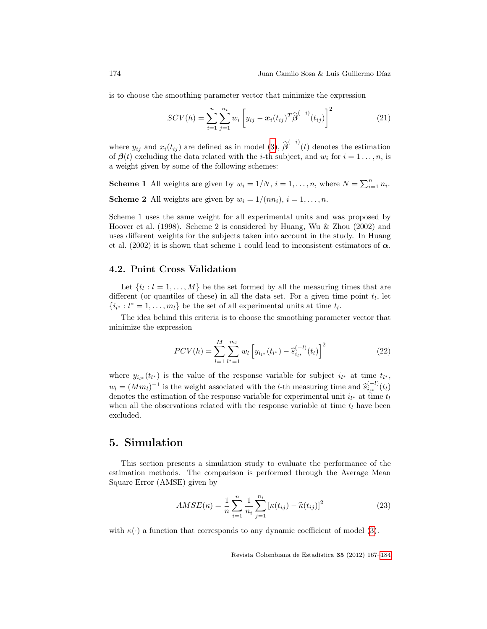is to choose the smoothing parameter vector that minimize the expression

$$
SCV(h) = \sum_{i=1}^{n} \sum_{j=1}^{n_i} w_i \left[ y_{ij} - x_i(t_{ij})^T \hat{\boldsymbol{\beta}}^{(-i)}(t_{ij}) \right]^2
$$
(21)

where  $y_{ij}$  and  $x_i(t_{ij})$  are defined as in model [\(3\)](#page-3-1),  $\hat{\beta}^{(-i)}(t)$  denotes the estimation of  $\beta(t)$  excluding the data related with the *i*-th subject, and  $w_i$  for  $i = 1 \ldots, n$ , is a weight given by some of the following schemes:

**Scheme 1** All weights are given by  $w_i = 1/N$ ,  $i = 1, ..., n$ , where  $N = \sum_{i=1}^{n} n_i$ . **Scheme 2** All weights are given by  $w_i = 1/(nn_i)$ ,  $i = 1, ..., n$ .

Scheme 1 uses the same weight for all experimental units and was proposed by Hoover et al. (1998). Scheme 2 is considered by Huang, Wu & Zhou (2002) and uses different weights for the subjects taken into account in the study. In Huang et al. (2002) it is shown that scheme 1 could lead to inconsistent estimators of  $\alpha$ .

### 4.2. Point Cross Validation

Let  $\{t_l: l = 1, \ldots, M\}$  be the set formed by all the measuring times that are different (or quantiles of these) in all the data set. For a given time point  $t_l$ , let  $\{i_{l^*}: l^* = 1, \ldots, m_l\}$  be the set of all experimental units at time  $t_l$ .

The idea behind this criteria is to choose the smoothing parameter vector that minimize the expression

$$
PCV(h) = \sum_{l=1}^{M} \sum_{l^*=1}^{m_l} w_l \left[ y_{i_{l^*}}(t_{l^*}) - \hat{s}_{i_{l^*}}^{(-l)}(t_l) \right]^2 \tag{22}
$$

where  $y_{i_{l^*}}(t_{l^*})$  is the value of the response variable for subject  $i_{l^*}$  at time  $t_{l^*}$ ,  $w_l = (Mm_l)^{-1}$  is the weight associated with the l-th measuring time and  $\hat{s}_{l_l}^{(-l)}$ <br>denotes the estimation of the response variable for experimental unit in at time  $\sum_{i_{l^*}}^{(-i)}(t_l)$ denotes the estimation of the response variable for experimental unit  $i_{l^*}$  at time  $t_l$ when all the observations related with the response variable at time  $t_l$  have been excluded.

## <span id="page-7-0"></span>5. Simulation

This section presents a simulation study to evaluate the performance of the estimation methods. The comparison is performed through the Average Mean Square Error (AMSE) given by

$$
AMSE(\kappa) = \frac{1}{n} \sum_{i=1}^{n} \frac{1}{n_i} \sum_{j=1}^{n_i} \left[ \kappa(t_{ij}) - \hat{\kappa}(t_{ij}) \right]^2
$$
 (23)

with  $\kappa(\cdot)$  a function that corresponds to any dynamic coefficient of model [\(3\)](#page-3-1).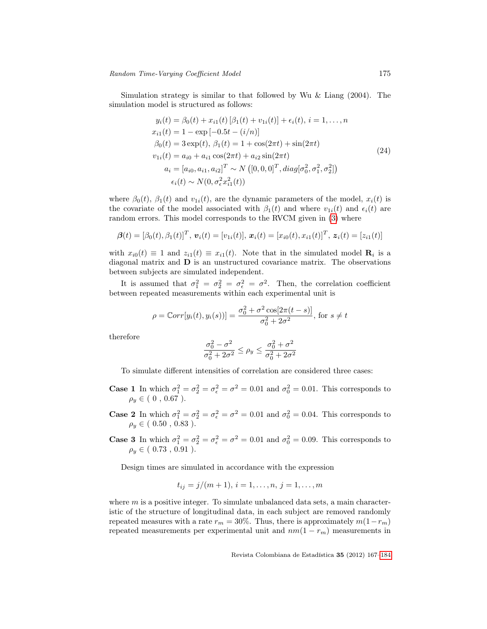Simulation strategy is similar to that followed by Wu & Liang (2004). The simulation model is structured as follows:

$$
y_i(t) = \beta_0(t) + x_{i1}(t) [\beta_1(t) + v_{1i}(t)] + \epsilon_i(t), i = 1,..., n
$$
  
\n
$$
x_{i1}(t) = 1 - \exp[-0.5t - (i/n)]
$$
  
\n
$$
\beta_0(t) = 3 \exp(t), \beta_1(t) = 1 + \cos(2\pi t) + \sin(2\pi t)
$$
  
\n
$$
v_{1i}(t) = a_{i0} + a_{i1} \cos(2\pi t) + a_{i2} \sin(2\pi t)
$$
  
\n
$$
a_i = [a_{i0}, a_{i1}, a_{i2}]^T \sim N([0, 0, 0]^T, diag[\sigma_0^2, \sigma_1^2, \sigma_2^2])
$$
  
\n
$$
\epsilon_i(t) \sim N(0, \sigma_\epsilon^2 x_{i1}^2(t))
$$
\n(24)

where  $\beta_0(t)$ ,  $\beta_1(t)$  and  $v_{1i}(t)$ , are the dynamic parameters of the model,  $x_i(t)$  is the covariate of the model associated with  $\beta_1(t)$  and where  $v_{1i}(t)$  and  $\epsilon_i(t)$  are random errors. This model corresponds to the RVCM given in [\(3\)](#page-3-1) where

$$
\boldsymbol{\beta}(t) = [\beta_0(t), \beta_1(t)]^T, \boldsymbol{v}_i(t) = [v_{1i}(t)], \boldsymbol{x}_i(t) = [x_{i0}(t), x_{i1}(t)]^T, \boldsymbol{z}_i(t) = [z_{i1}(t)]
$$

with  $x_{i0}(t) \equiv 1$  and  $z_{i1}(t) \equiv x_{i1}(t)$ . Note that in the simulated model  $\mathbf{R}_i$  is a diagonal matrix and D is an unstructured covariance matrix. The observations between subjects are simulated independent.

It is assumed that  $\sigma_1^2 = \sigma_2^2 = \sigma_{\epsilon}^2 = \sigma^2$ . Then, the correlation coefficient between repeated measurements within each experimental unit is

$$
\rho = \mathbb{C}orr[y_i(t), y_i(s))] = \frac{\sigma_0^2 + \sigma^2 \cos[2\pi(t - s)]}{\sigma_0^2 + 2\sigma^2}, \text{ for } s \neq t
$$

therefore

$$
\frac{\sigma_0^2 - \sigma^2}{\sigma_0^2 + 2\sigma^2} \le \rho_y \le \frac{\sigma_0^2 + \sigma^2}{\sigma_0^2 + 2\sigma^2}
$$

To simulate different intensities of correlation are considered three cases:

- **Case 1** In which  $\sigma_1^2 = \sigma_2^2 = \sigma_\epsilon^2 = \sigma^2 = 0.01$  and  $\sigma_0^2 = 0.01$ . This corresponds to  $\rho_y \in (0\;,\,0.67\;).$
- **Case 2** In which  $\sigma_1^2 = \sigma_2^2 = \sigma_\epsilon^2 = \sigma^2 = 0.01$  and  $\sigma_0^2 = 0.04$ . This corresponds to  $\rho_y \in ( \ 0.50 \ , \ 0.83 \ ).$
- **Case 3** In which  $\sigma_1^2 = \sigma_2^2 = \sigma_\epsilon^2 = \sigma^2 = 0.01$  and  $\sigma_0^2 = 0.09$ . This corresponds to  $\rho_y \in (0.73, 0.91).$

Design times are simulated in accordance with the expression

$$
t_{ij} = j/(m+1), i = 1, \ldots, n, j = 1, \ldots, m
$$

where  $m$  is a positive integer. To simulate unbalanced data sets, a main characteristic of the structure of longitudinal data, in each subject are removed randomly repeated measures with a rate  $r_m = 30\%$ . Thus, there is approximately  $m(1-r_m)$ repeated measurements per experimental unit and  $nm(1 - r_m)$  measurements in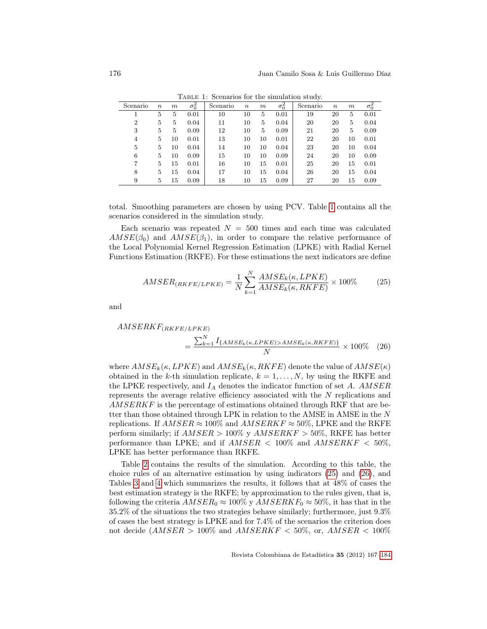<span id="page-9-0"></span>Scenario  $n \quad m$  $\frac{\sigma_0^2}{0.01}$ Scenario  $n \overline{m}$  $\frac{\sigma_0^2}{0.01}$ Scenario  $n \quad m$  $\frac{\sigma_0^2}{0.01}$ 1 5 5 0.01 10 10 5 0.01 19 20 5 0.01 2 5 5 0.04 11 10 5 0.04 20 20 5 0.04 3 5 5 0.09 12 10 5 0.09 21 20 5 0.09 4 5 10 0.01 13 10 10 0.01 22 20 10 0.01 5 5 10 0.04 14 10 10 0.04 23 20 10 0.04 6 5 10 0.09 15 10 10 0.09 24 20 10 0.09 7 5 15 0.01 16 10 15 0.01 25 20 15 0.01 8 5 15 0.04 17 10 15 0.04 26 20 15 0.04 9 5 15 0.09 18 10 15 0.09 27 20 15 0.09

Table 1: Scenarios for the simulation study.

total. Smoothing parameters are chosen by using PCV. Table [1](#page-9-0) contains all the scenarios considered in the simulation study.

Each scenario was repeated  $N = 500$  times and each time was calculated  $AMSE(\beta_0)$  and  $AMSE(\beta_1)$ , in order to compare the relative performance of the Local Polynomial Kernel Regression Estimation (LPKE) with Radial Kernel Functions Estimation (RKFE). For these estimations the next indicators are define

<span id="page-9-2"></span><span id="page-9-1"></span>
$$
AMSER_{(RKFE/LPKE)} = \frac{1}{N} \sum_{k=1}^{N} \frac{AMSE_k(\kappa, LPKE)}{AMSE_k(\kappa, RKFE)} \times 100\%
$$
 (25)

and

$$
AMSERKF_{(RKFE/LPKE)} = \frac{\sum_{k=1}^{N} I_{\{AMSE_k(\kappa, LPKE) > AMSE_k(\kappa, RKFE)\}}}{N} \times 100\% \quad (26)
$$

where  $AMSE_k(\kappa, LPKE)$  and  $AMSE_k(\kappa, RKFE)$  denote the value of  $AMSE(\kappa)$ obtained in the k-th simulation replicate,  $k = 1, \ldots, N$ , by using the RKFE and the LPKE respectively, and  $I_A$  denotes the indicator function of set  $A.$   $AMSER$ represents the average relative efficiency associated with the N replications and AMSERKF is the percentage of estimations obtained through RKF that are better than those obtained through LPK in relation to the AMSE in AMSE in the N replications. If  $AMSER \approx 100\%$  and  $AMSERKF \approx 50\%$ , LPKE and the RKFE perform similarly; if  $AMSER > 100\%$  y  $AMSERKF > 50\%$ , RKFE has better performance than LPKE; and if  $AMSER < 100\%$  and  $AMSERKF < 50\%$ , LPKE has better performance than RKFE.

Table [2](#page-10-0) contains the results of the simulation. According to this table, the choice rules of an alternative estimation by using indicators [\(25\)](#page-9-1) and [\(26\)](#page-9-2), and Tables [3](#page-10-1) and [4](#page-11-1) which summarizes the results, it follows that at 48% of cases the best estimation strategy is the RKFE; by approximation to the rules given, that is, following the criteria  $AMSER_0 \approx 100\%$  y  $AMSERKF_0 \approx 50\%$ , it has that in the 35.2% of the situations the two strategies behave similarly; furthermore, just 9.3% of cases the best strategy is LPKE and for 7.4% of the scenarios the criterion does not decide  $(AMSER > 100\%$  and  $AMSERKF < 50\%$ , or,  $AMSER < 100\%$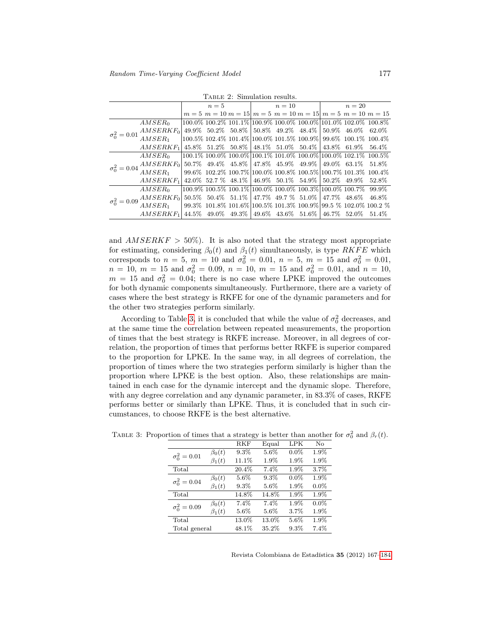Table 2: Simulation results.

<span id="page-10-0"></span>

|                                                                                                                                                                                                                  |                                                                   | $n=5$ |  |                                                                                          | $n=10$ |  |  | $n=20$ |  |                                                                                           |
|------------------------------------------------------------------------------------------------------------------------------------------------------------------------------------------------------------------|-------------------------------------------------------------------|-------|--|------------------------------------------------------------------------------------------|--------|--|--|--------|--|-------------------------------------------------------------------------------------------|
|                                                                                                                                                                                                                  |                                                                   |       |  |                                                                                          |        |  |  |        |  | $m = 5$ $m = 10$ $m = 15$ $m = 5$ $m = 10$ $m = 15$ $m = 5$ $m = 10$ $m = 15$             |
| $\sigma_0^2 = 0.01$                                                                                                                                                                                              | AMSER <sub>0</sub>                                                |       |  |                                                                                          |        |  |  |        |  | $100.0\%$ $100.2\%$ $101.1\%$ $100.9\%$ $100.0\%$ $100.0\%$ $101.0\%$ $102.0\%$ $100.8\%$ |
|                                                                                                                                                                                                                  | $AMSERKF_0$ 49.9% 50.2% 50.8% 50.8% 49.2% 48.4% 50.9% 46.0% 62.0% |       |  |                                                                                          |        |  |  |        |  |                                                                                           |
|                                                                                                                                                                                                                  | AMSER <sub>1</sub>                                                |       |  |                                                                                          |        |  |  |        |  | $100.5\%$ 102.4\% 101.4\% 100.0\% 101.5\% 100.9\% 99.6\% 100.1\% 100.4\%                  |
|                                                                                                                                                                                                                  | $AMSERKF_1$                                                       |       |  | 45.8\% 51.2\% 50.8\% 48.1\% 51.0\% 50.4\% 43.8\% 61.9\% 56.4\%                           |        |  |  |        |  |                                                                                           |
| $\sigma_0^2 = 0.04 \frac{AMSERKF_0}{AMSER} \begin{bmatrix} 50.7\% & 49.4\% & 45.8\% \end{bmatrix} \begin{bmatrix} 47.8\% & 45.9\% & 49.9\% \end{bmatrix} \begin{bmatrix} 49.0\% & 63.1\% & 51.8\% \end{bmatrix}$ | AMSER <sub>0</sub>                                                |       |  |                                                                                          |        |  |  |        |  | $100.1\%$ $100.0\%$ $100.0\%$ $100.1\%$ $101.0\%$ $100.0\%$ $100.0\%$ $102.1\%$ $100.5\%$ |
|                                                                                                                                                                                                                  |                                                                   |       |  |                                                                                          |        |  |  |        |  |                                                                                           |
|                                                                                                                                                                                                                  | AMSER <sub>1</sub>                                                |       |  |                                                                                          |        |  |  |        |  | 99.6% 102.2% 100.7% 100.0% 100.8% 100.5% 100.7% 101.3% 100.4%                             |
|                                                                                                                                                                                                                  | $AMSERKF_1$                                                       |       |  | 42.0\% 52.7 \% 48.1\% 46.9\% 50.1\% 54.9\% 50.2\% 49.9\% 52.8\%                          |        |  |  |        |  |                                                                                           |
| $\sigma_0^2 = 0.09 \left. \frac{AMSER}{K}F_0 \right ,$                                                                                                                                                           | AMSER <sub>0</sub>                                                |       |  | $100.9\%$ $100.5\%$ $100.1\%$ $100.0\%$ $100.0\%$ $100.3\%$ $100.0\%$ $100.7\%$ $99.9\%$ |        |  |  |        |  |                                                                                           |
|                                                                                                                                                                                                                  |                                                                   |       |  | $50.5\%$ $50.4\%$ $51.1\%$ $47.7\%$ $49.7\%$ $51.0\%$ $47.7\%$ $48.6\%$ $46.8\%$         |        |  |  |        |  |                                                                                           |
|                                                                                                                                                                                                                  | AMSER <sub>1</sub>                                                |       |  |                                                                                          |        |  |  |        |  | $99.3\%$ 101.8\% 101.6\% 100.5\% 101.3\% 100.9\%  99.5 \% 102.0\% 100.2 \%                |
|                                                                                                                                                                                                                  | $AMSERKF_1$                                                       | 44.5% |  | $49.0\%$ $49.3\%$ $49.6\%$ $43.6\%$ $51.6\%$ $46.7\%$ $52.0\%$ $51.4\%$                  |        |  |  |        |  |                                                                                           |

and  $AMSERKF > 50\%$ . It is also noted that the strategy most appropriate for estimating, considering  $\beta_0(t)$  and  $\beta_1(t)$  simultaneously, is type RKFE which corresponds to  $n = 5$ ,  $m = 10$  and  $\sigma_0^2 = 0.01$ ,  $n = 5$ ,  $m = 15$  and  $\sigma_0^2 = 0.01$ ,  $n = 10, m = 15$  and  $\sigma_0^2 = 0.09, n = 10, m = 15$  and  $\sigma_0^2 = 0.01$ , and  $n = 10$ ,  $m = 15$  and  $\sigma_0^2 = 0.04$ ; there is no case where LPKE improved the outcomes for both dynamic components simultaneously. Furthermore, there are a variety of cases where the best strategy is RKFE for one of the dynamic parameters and for the other two strategies perform similarly.

According to Table [3,](#page-10-1) it is concluded that while the value of  $\sigma_0^2$  decreases, and at the same time the correlation between repeated measurements, the proportion of times that the best strategy is RKFE increase. Moreover, in all degrees of correlation, the proportion of times that performs better RKFE is superior compared to the proportion for LPKE. In the same way, in all degrees of correlation, the proportion of times where the two strategies perform similarly is higher than the proportion where LPKE is the best option. Also, these relationships are maintained in each case for the dynamic intercept and the dynamic slope. Therefore, with any degree correlation and any dynamic parameter, in 83.3% of cases, RKFE performs better or similarly than LPKE. Thus, it is concluded that in such circumstances, to choose RKFE is the best alternative.

|                     |              | RKF     | Equal   | LPK     | No      |
|---------------------|--------------|---------|---------|---------|---------|
| $\sigma_0^2 = 0.01$ | $\beta_0(t)$ | 9.3%    | 5.6%    | $0.0\%$ | 1.9%    |
|                     | $\beta_1(t)$ | 11.1%   | 1.9%    | $1.9\%$ | 1.9%    |
| Total               |              | 20.4%   | 7.4%    | 1.9%    | 3.7%    |
| $\sigma_0^2 = 0.04$ | $\beta_0(t)$ | 5.6%    | 9.3%    | $0.0\%$ | 1.9%    |
|                     | $\beta_1(t)$ | $9.3\%$ | $5.6\%$ | $1.9\%$ | $0.0\%$ |
| Total               |              | 14.8%   | 14.8%   | 1.9%    | 1.9%    |
| $\sigma_0^2 = 0.09$ | $\beta_0(t)$ | 7.4%    | 7.4%    | 1.9%    | $0.0\%$ |
|                     | $\beta_1(t)$ | $5.6\%$ | 5.6%    | 3.7%    | 1.9%    |
| Total               |              | 13.0%   | 13.0%   | 5.6%    | 1.9%    |
| Total general       |              | 48.1%   | 35.2%   | $9.3\%$ | 7.4%    |

<span id="page-10-1"></span>TABLE 3: Proportion of times that a strategy is better than another for  $\sigma_0^2$  and  $\beta_r(t)$ .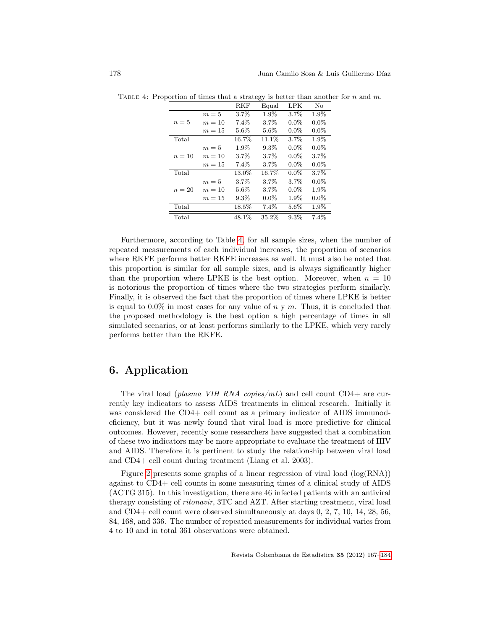|        |        | RKF      | Equal   | LPK     | No      |
|--------|--------|----------|---------|---------|---------|
|        | $m=5$  | 3.7%     | $1.9\%$ | 3.7%    | 1.9%    |
| $n=5$  | $m=10$ | 7.4%     | $3.7\%$ | $0.0\%$ | $0.0\%$ |
|        | $m=15$ | $5.6\%$  | $5.6\%$ | $0.0\%$ | $0.0\%$ |
| Total  |        | 16.7%    | 11.1%   | 3.7%    | 1.9%    |
|        | $m=5$  | 1.9%     | $9.3\%$ | $0.0\%$ | $0.0\%$ |
| $n=10$ | $m=10$ | 3.7%     | $3.7\%$ | $0.0\%$ | $3.7\%$ |
|        | $m=15$ | $7.4\%$  | $3.7\%$ | $0.0\%$ | $0.0\%$ |
| Total  |        | 13.0%    | 16.7%   | $0.0\%$ | $3.7\%$ |
|        | $m=5$  | 3.7%     | 3.7%    | 3.7%    | $0.0\%$ |
| $n=20$ | $m=10$ | $5.6\%$  | $3.7\%$ | $0.0\%$ | 1.9%    |
|        | $m=15$ | $9.3\%$  | $0.0\%$ | 1.9%    | $0.0\%$ |
| Total  |        | $18.5\%$ | 7.4%    | $5.6\%$ | 1.9%    |
| Total  |        | 48.1%    | 35.2%   | 9.3%    | 7.4%    |

<span id="page-11-1"></span>TABLE 4: Proportion of times that a strategy is better than another for n and m.

Furthermore, according to Table [4,](#page-11-1) for all sample sizes, when the number of repeated measurements of each individual increases, the proportion of scenarios where RKFE performs better RKFE increases as well. It must also be noted that this proportion is similar for all sample sizes, and is always significantly higher than the proportion where LPKE is the best option. Moreover, when  $n = 10$ is notorious the proportion of times where the two strategies perform similarly. Finally, it is observed the fact that the proportion of times where LPKE is better is equal to  $0.0\%$  in most cases for any value of  $n \vee m$ . Thus, it is concluded that the proposed methodology is the best option a high percentage of times in all simulated scenarios, or at least performs similarly to the LPKE, which very rarely performs better than the RKFE.

# <span id="page-11-0"></span>6. Application

The viral load (plasma VIH RNA copies/mL) and cell count  $CD4+$  are currently key indicators to assess AIDS treatments in clinical research. Initially it was considered the CD4+ cell count as a primary indicator of AIDS immunodeficiency, but it was newly found that viral load is more predictive for clinical outcomes. However, recently some researchers have suggested that a combination of these two indicators may be more appropriate to evaluate the treatment of HIV and AIDS. Therefore it is pertinent to study the relationship between viral load and CD4+ cell count during treatment (Liang et al. 2003).

Figure [2](#page-12-0) presents some graphs of a linear regression of viral load (log(RNA)) against to CD4+ cell counts in some measuring times of a clinical study of AIDS (ACTG 315). In this investigation, there are 46 infected patients with an antiviral therapy consisting of ritonavir, 3TC and AZT. After starting treatment, viral load and CD4+ cell count were observed simultaneously at days 0, 2, 7, 10, 14, 28, 56, 84, 168, and 336. The number of repeated measurements for individual varies from 4 to 10 and in total 361 observations were obtained.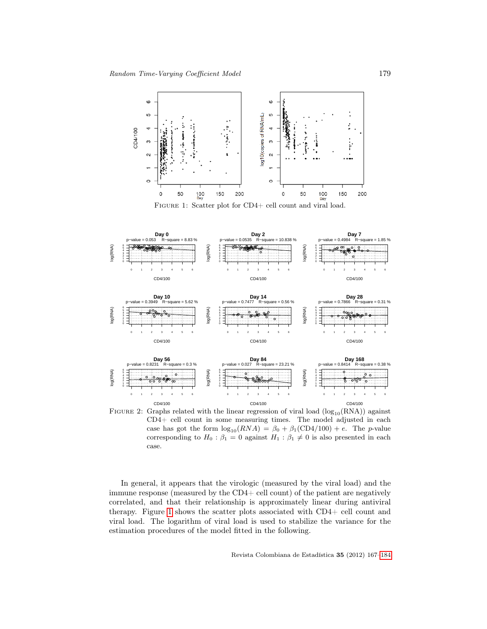<span id="page-12-1"></span>

Figure 1: Scatter plot for CD4+ cell count and viral load.

<span id="page-12-0"></span>

FIGURE 2: Graphs related with the linear regression of viral load  $(log_{10}(RNA))$  against CD4+ cell count in some measuring times. The model adjusted in each case has got the form  $\log_{10}(RNA) = \beta_0 + \beta_1(CD4/100) + e$ . The *p*-value corresponding to  $H_0$ :  $\beta_1 = 0$  against  $H_1$ :  $\beta_1 \neq 0$  is also presented in each case.

In general, it appears that the virologic (measured by the viral load) and the immune response (measured by the CD4+ cell count) of the patient are negatively correlated, and that their relationship is approximately linear during antiviral therapy. Figure [1](#page-12-1) shows the scatter plots associated with CD4+ cell count and viral load. The logarithm of viral load is used to stabilize the variance for the estimation procedures of the model fitted in the following.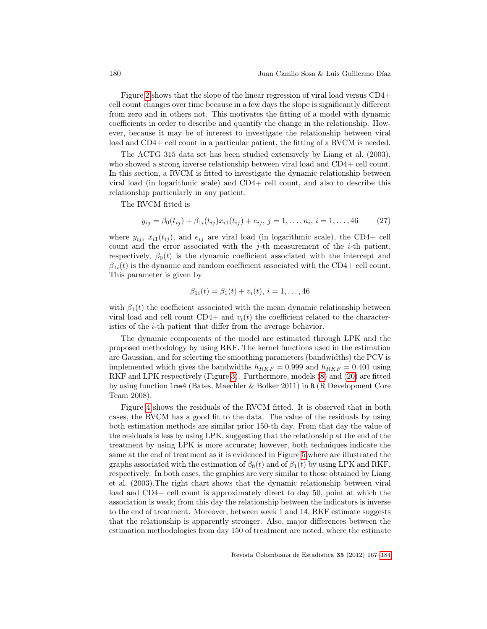Figure [2](#page-12-0) shows that the slope of the linear regression of viral load versus CD4+ cell count changes over time because in a few days the slope is significantly different from zero and in others not. This motivates the fitting of a model with dynamic coefficients in order to describe and quantify the change in the relationship. However, because it may be of interest to investigate the relationship between viral load and CD4+ cell count in a particular patient, the fitting of a RVCM is needed.

The ACTG 315 data set has been studied extensively by Liang et al. (2003), who showed a strong inverse relationship between viral load and CD4+ cell count. In this section, a RVCM is fitted to investigate the dynamic relationship between viral load (in logarithmic scale) and CD4+ cell count, and also to describe this relationship particularly in any patient.

The RVCM fitted is

$$
y_{ij} = \beta_0(t_{ij}) + \beta_{1i}(t_{ij})x_{i1}(t_{ij}) + e_{ij}, \ j = 1, \dots, n_i, \ i = 1, \dots, 46 \tag{27}
$$

where  $y_{ij}$ ,  $x_{i1}(t_{ij})$ , and  $e_{ij}$  are viral load (in logarithmic scale), the CD4+ cell count and the error associated with the  $j$ -th measurement of the  $i$ -th patient, respectively,  $\beta_0(t)$  is the dynamic coefficient associated with the intercept and  $\beta_{1i}(t)$  is the dynamic and random coefficient associated with the CD4+ cell count. This parameter is given by

$$
\beta_{1i}(t) = \beta_1(t) + v_i(t), i = 1, \dots, 46
$$

with  $\beta_1(t)$  the coefficient associated with the mean dynamic relationship between viral load and cell count  $CD4+$  and  $v_i(t)$  the coefficient related to the characteristics of the i-th patient that differ from the average behavior.

The dynamic components of the model are estimated through LPK and the proposed methodology by using RKF. The kernel functions used in the estimation are Gaussian, and for selecting the smoothing parameters (bandwidths) the PCV is implemented which gives the bandwidths  $h_{RKF} = 0.999$  and  $h_{RKF} = 0.401$  using RKF and LPK respectively (Figure [3\)](#page-14-0). Furthermore, models [\(8\)](#page-4-0) and [\(20\)](#page-6-3) are fitted by using function lme4 (Bates, Maechler & Bolker 2011) in R (R Development Core Team 2008).

Figure [4](#page-14-1) shows the residuals of the RVCM fitted. It is observed that in both cases, the RVCM has a good fit to the data. The value of the residuals by using both estimation methods are similar prior 150-th day. From that day the value of the residuals is less by using LPK, suggesting that the relationship at the end of the treatment by using LPK is more accurate; however, both techniques indicate the same at the end of treatment as it is evidenced in Figure [5](#page-15-1) where are illustrated the graphs associated with the estimation of  $\beta_0(t)$  and of  $\beta_1(t)$  by using LPK and RKF, respectively. In both cases, the graphics are very similar to those obtained by Liang et al. (2003).The right chart shows that the dynamic relationship between viral load and CD4+ cell count is approximately direct to day 50, point at which the association is weak; from this day the relationship between the indicators is inverse to the end of treatment. Moreover, between week 1 and 14, RKF estimate suggests that the relationship is apparently stronger. Also, major differences between the estimation methodologies from day 150 of treatment are noted, where the estimate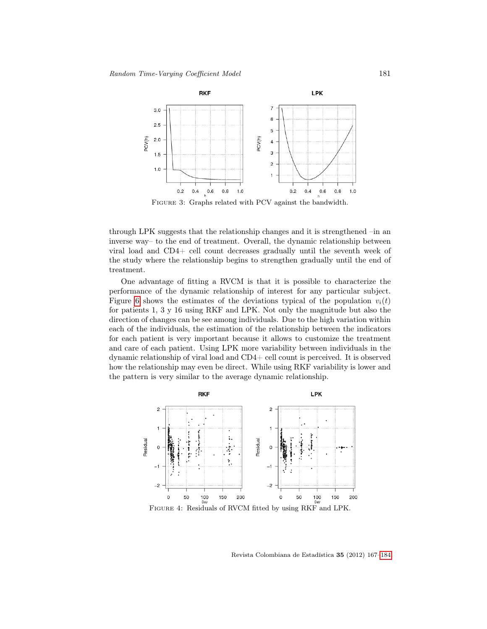<span id="page-14-0"></span>

Figure 3: Graphs related with PCV against the bandwidth.

through LPK suggests that the relationship changes and it is strengthened –in an inverse way– to the end of treatment. Overall, the dynamic relationship between viral load and CD4+ cell count decreases gradually until the seventh week of the study where the relationship begins to strengthen gradually until the end of treatment.

One advantage of fitting a RVCM is that it is possible to characterize the performance of the dynamic relationship of interest for any particular subject. Figure [6](#page-15-2) shows the estimates of the deviations typical of the population  $v_i(t)$ for patients 1, 3 y 16 using RKF and LPK. Not only the magnitude but also the direction of changes can be see among individuals. Due to the high variation within each of the individuals, the estimation of the relationship between the indicators for each patient is very important because it allows to customize the treatment and care of each patient. Using LPK more variability between individuals in the dynamic relationship of viral load and CD4+ cell count is perceived. It is observed how the relationship may even be direct. While using RKF variability is lower and the pattern is very similar to the average dynamic relationship.

<span id="page-14-1"></span>

Revista Colombiana de Estadística 35 (2012) 167[–184](#page-16-0)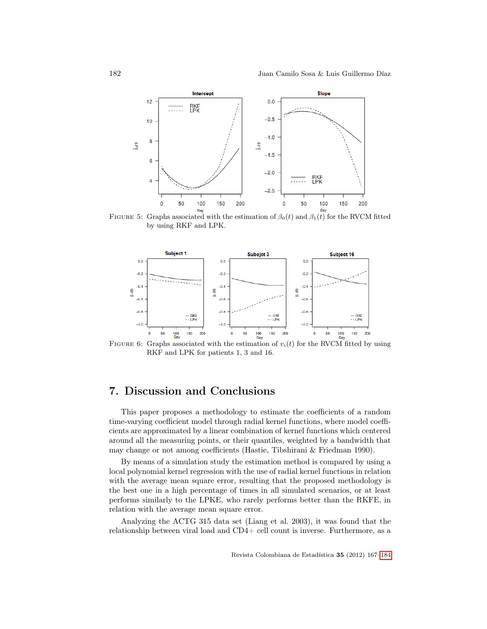<span id="page-15-1"></span>

FIGURE 5: Graphs associated with the estimation of  $\beta_0(t)$  and  $\beta_1(t)$  for the RVCM fitted by using RKF and LPK.

<span id="page-15-2"></span>

RKF and LPK for patients 1, 3 and 16.

# <span id="page-15-0"></span>7. Discussion and Conclusions

This paper proposes a methodology to estimate the coefficients of a random time-varying coefficient model through radial kernel functions, where model coefficients are approximated by a linear combination of kernel functions which centered around all the measuring points, or their quantiles, weighted by a bandwidth that may change or not among coefficients (Hastie, Tibshirani & Friedman 1990).

By means of a simulation study the estimation method is compared by using a local polynomial kernel regression with the use of radial kernel functions in relation with the average mean square error, resulting that the proposed methodology is the best one in a high percentage of times in all simulated scenarios, or at least performs similarly to the LPKE, who rarely performs better than the RKFE, in relation with the average mean square error.

Analyzing the ACTG 315 data set (Liang et al. 2003), it was found that the relationship between viral load and CD4+ cell count is inverse. Furthermore, as a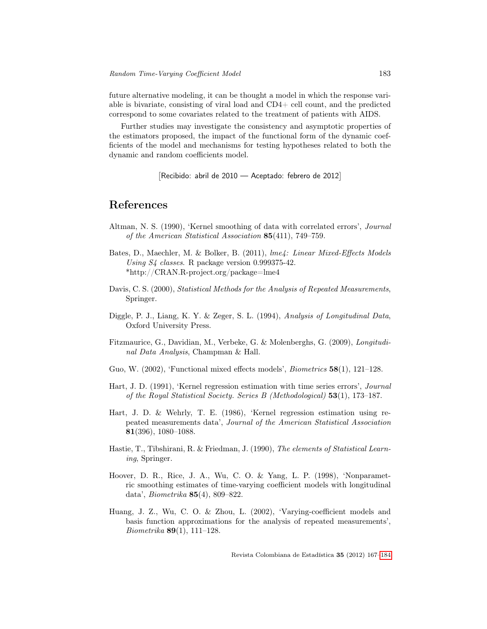future alternative modeling, it can be thought a model in which the response variable is bivariate, consisting of viral load and CD4+ cell count, and the predicted correspond to some covariates related to the treatment of patients with AIDS.

Further studies may investigate the consistency and asymptotic properties of the estimators proposed, the impact of the functional form of the dynamic coefficients of the model and mechanisms for testing hypotheses related to both the dynamic and random coefficients model.

[Recibido: abril de 2010 — Aceptado: febrero de 2012]

## <span id="page-16-0"></span>References

- Altman, N. S. (1990), 'Kernel smoothing of data with correlated errors', Journal of the American Statistical Association 85(411), 749–759.
- Bates, D., Maechler, M. & Bolker, B. (2011), lme4: Linear Mixed-Effects Models Using S4 classes. R package version 0.999375-42. \*http://CRAN.R-project.org/package=lme4
- Davis, C. S. (2000), Statistical Methods for the Analysis of Repeated Measurements, Springer.
- Diggle, P. J., Liang, K. Y. & Zeger, S. L. (1994), Analysis of Longitudinal Data, Oxford University Press.
- Fitzmaurice, G., Davidian, M., Verbeke, G. & Molenberghs, G. (2009), Longitudinal Data Analysis, Champman & Hall.
- Guo, W. (2002), 'Functional mixed effects models', Biometrics 58(1), 121–128.
- Hart, J. D. (1991), 'Kernel regression estimation with time series errors', Journal of the Royal Statistical Society. Series B (Methodological) 53(1), 173–187.
- Hart, J. D. & Wehrly, T. E. (1986), 'Kernel regression estimation using repeated measurements data', Journal of the American Statistical Association 81(396), 1080–1088.
- Hastie, T., Tibshirani, R. & Friedman, J. (1990), The elements of Statistical Learning, Springer.
- Hoover, D. R., Rice, J. A., Wu, C. O. & Yang, L. P. (1998), 'Nonparametric smoothing estimates of time-varying coefficient models with longitudinal data', Biometrika 85(4), 809–822.
- Huang, J. Z., Wu, C. O. & Zhou, L. (2002), 'Varying-coefficient models and basis function approximations for the analysis of repeated measurements', Biometrika 89(1), 111–128.